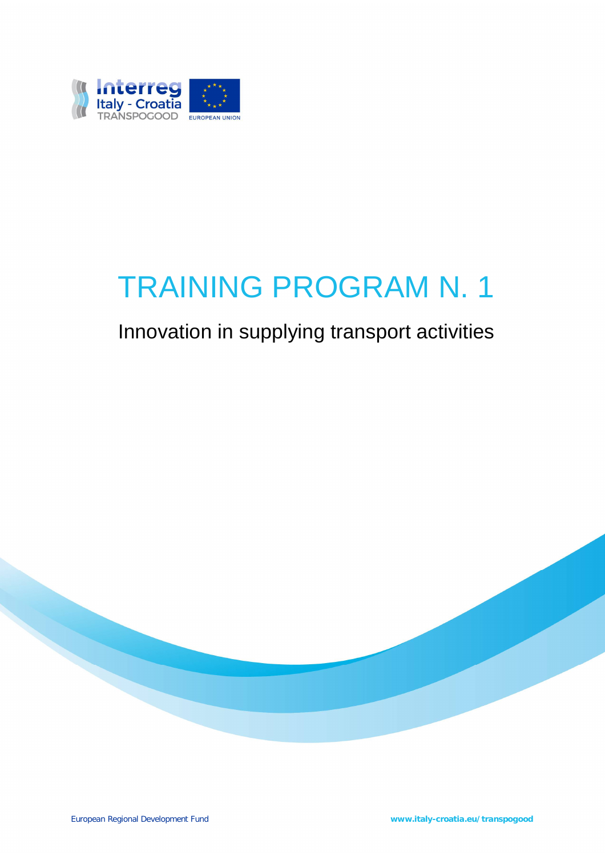

# TRAINING PROGRAM N. 1

## Innovation in supplying transport activities

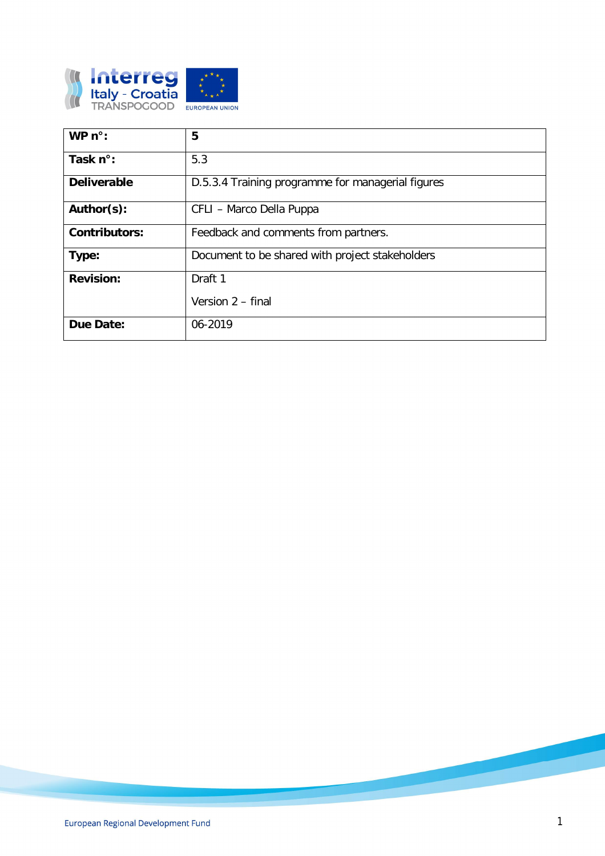

| WP $n^{\circ}$ :     | 5                                                 |
|----------------------|---------------------------------------------------|
| Task $n^{\circ}$ :   | 5.3                                               |
| <b>Deliverable</b>   | D.5.3.4 Training programme for managerial figures |
| Author(s):           | CFLI - Marco Della Puppa                          |
| <b>Contributors:</b> | Feedback and comments from partners.              |
| Type:                | Document to be shared with project stakeholders   |
| <b>Revision:</b>     | Draft 1                                           |
|                      | Version 2 - final                                 |
| Due Date:            | 06-2019                                           |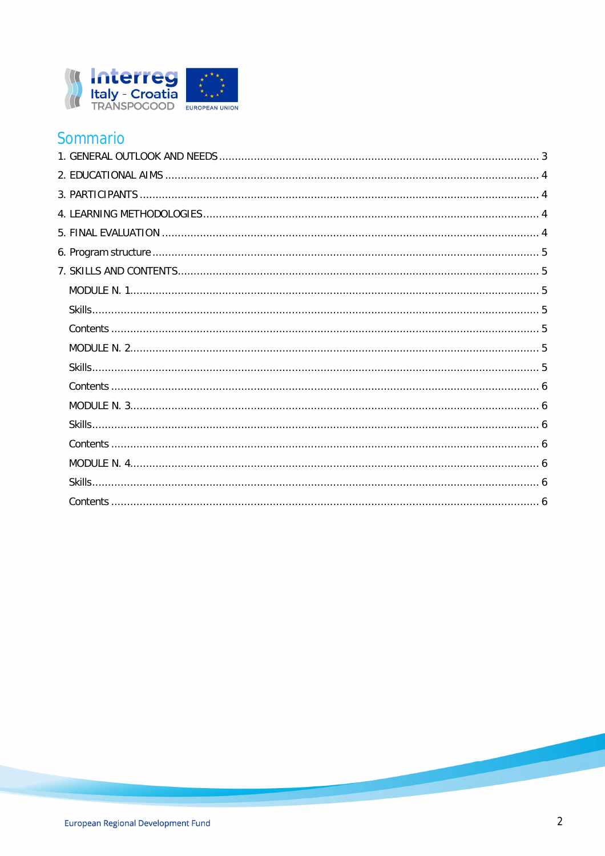

## Sommario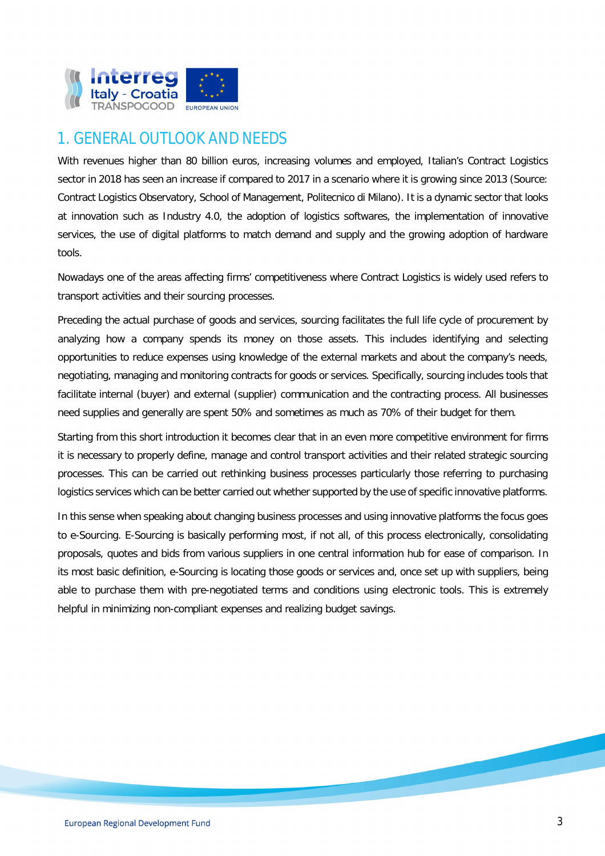

## 1. GENERAL OUTLOOK AND NEEDS

With revenues higher than 80 billion euros, increasing volumes and employed, Italian's Contract Logistics sector in 2018 has seen an increase if compared to 2017 in a scenario where it is growing since 2013 (Source: Contract Logistics Observatory, School of Management, Politecnico di Milano). It is a dynamic sector that looks at innovation such as Industry 4.0, the adoption of logistics softwares, the implementation of innovative services, the use of digital platforms to match demand and supply and the growing adoption of hardware tools.

Nowadays one of the areas affecting firms' competitiveness where Contract Logistics is widely used refers to transport activities and their sourcing processes.

Preceding the actual purchase of goods and services, sourcing facilitates the full life cycle of procurement by analyzing how a company spends its money on those assets. This includes identifying and selecting opportunities to reduce expenses using knowledge of the external markets and about the company's needs, negotiating, managing and monitoring contracts for goods or services. Specifically, sourcing includes tools that facilitate internal (buyer) and external (supplier) communication and the contracting process. All businesses need supplies and generally are spent 50% and sometimes as much as 70% of their budget for them.

Starting from this short introduction it becomes clear that in an even more competitive environment for firms it is necessary to properly define, manage and control transport activities and their related strategic sourcing processes. This can be carried out rethinking business processes particularly those referring to purchasing logistics services which can be better carried out whether supported by the use of specific innovative platforms.

In this sense when speaking about changing business processes and using innovative platforms the focus goes to e-Sourcing. E-Sourcing is basically performing most, if not all, of this process electronically, consolidating proposals, quotes and bids from various suppliers in one central information hub for ease of comparison. In its most basic definition, e-Sourcing is locating those goods or services and, once set up with suppliers, being able to purchase them with pre-negotiated terms and conditions using electronic tools. This is extremely helpful in minimizing non-compliant expenses and realizing budget savings.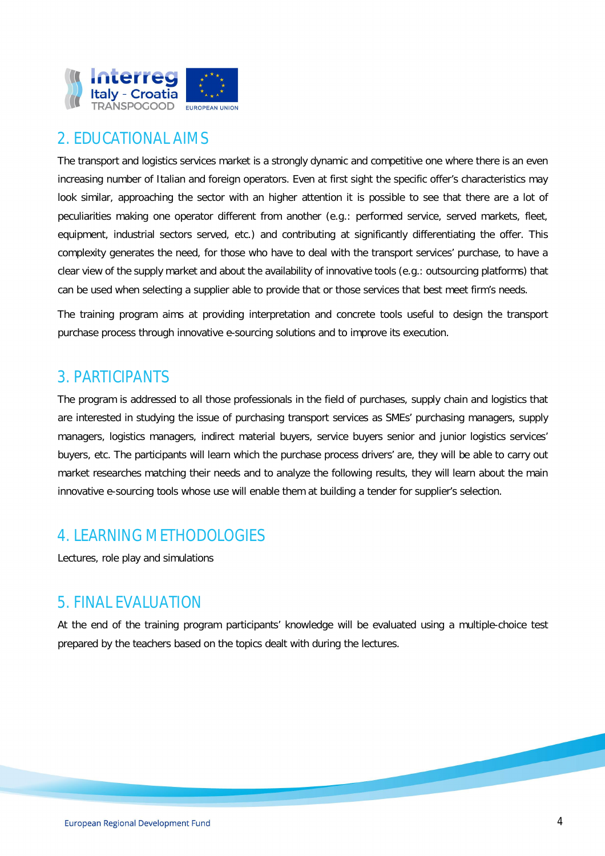

## 2. EDUCATIONAL AIMS

The transport and logistics services market is a strongly dynamic and competitive one where there is an even increasing number of Italian and foreign operators. Even at first sight the specific offer's characteristics may look similar, approaching the sector with an higher attention it is possible to see that there are a lot of peculiarities making one operator different from another (e.g.: performed service, served markets, fleet, equipment, industrial sectors served, etc.) and contributing at significantly differentiating the offer. This complexity generates the need, for those who have to deal with the transport services' purchase, to have a clear view of the supply market and about the availability of innovative tools (e.g.: outsourcing platforms) that can be used when selecting a supplier able to provide that or those services that best meet firm's needs.

The training program aims at providing interpretation and concrete tools useful to design the transport purchase process through innovative e-sourcing solutions and to improve its execution.

### 3. PARTICIPANTS

The program is addressed to all those professionals in the field of purchases, supply chain and logistics that are interested in studying the issue of purchasing transport services as SMEs' purchasing managers, supply managers, logistics managers, indirect material buyers, service buyers senior and junior logistics services' buyers, etc. The participants will learn which the purchase process drivers' are, they will be able to carry out market researches matching their needs and to analyze the following results, they will learn about the main innovative e-sourcing tools whose use will enable them at building a tender for supplier's selection.

## 4. LEARNING METHODOLOGIES

Lectures, role play and simulations

## 5. FINAL EVALUATION

At the end of the training program participants' knowledge will be evaluated using a multiple-choice test prepared by the teachers based on the topics dealt with during the lectures.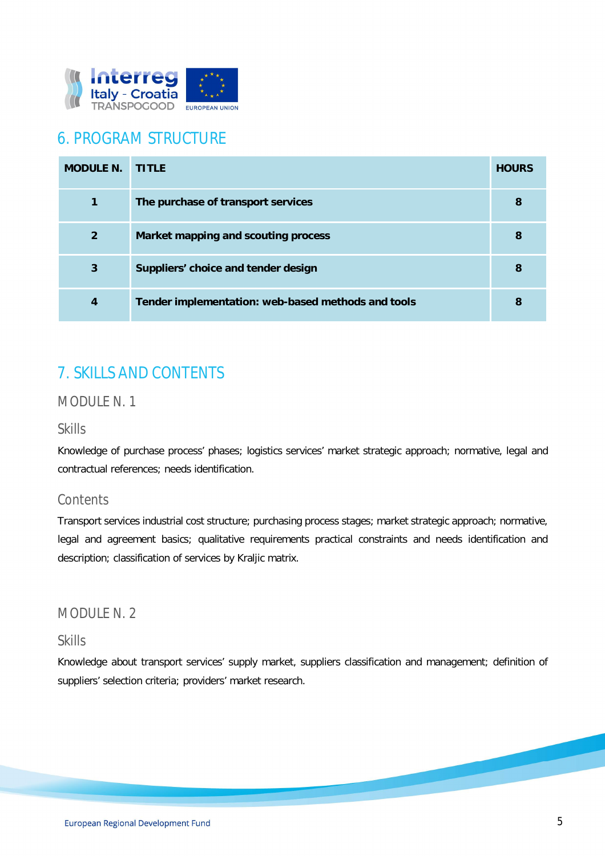

## 6. PROGRAM STRUCTURE

| <b>MODULE N.</b> | <b>TITLE</b>                                       | <b>HOURS</b> |
|------------------|----------------------------------------------------|--------------|
| 1                | The purchase of transport services                 | 8            |
| $\overline{2}$   | Market mapping and scouting process                | 8            |
| 3                | Suppliers' choice and tender design                | 8            |
| 4                | Tender implementation: web-based methods and tools | 8            |

## 7. SKILLS AND CONTENTS

#### *MODULE N. 1*

#### *Skills*

Knowledge of purchase process' phases; logistics services' market strategic approach; normative, legal and contractual references; needs identification.

#### *Contents*

Transport services industrial cost structure; purchasing process stages; market strategic approach; normative, legal and agreement basics; qualitative requirements practical constraints and needs identification and description; classification of services by Kraljic matrix.

#### *MODULE N. 2*

#### *Skills*

Knowledge about transport services' supply market, suppliers classification and management; definition of suppliers' selection criteria; providers' market research.